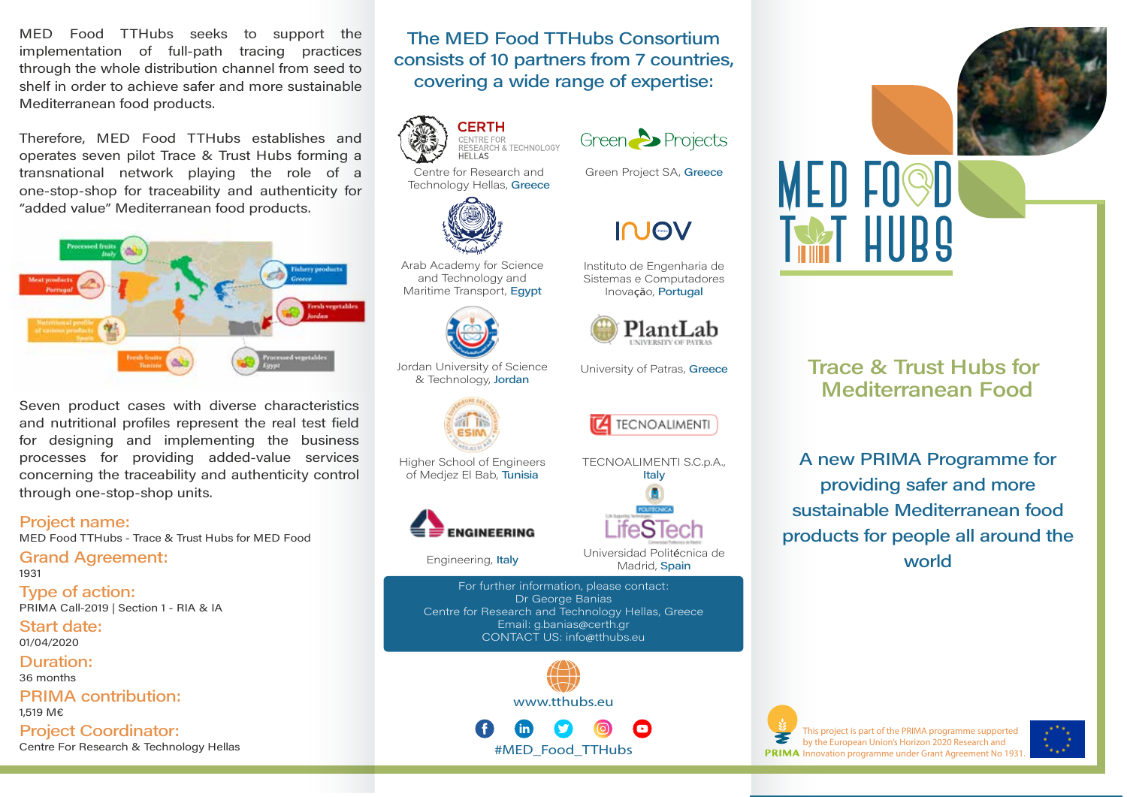MED Food TTHubs seeks to support the implementation of full-path tracing practices through the whole distribution channel from seed to shelf in order to achieve safer and more sustainable Mediterranean food products.

Therefore, MED Food TTHubs establishes and operates seven pilot Trace & Trust Hubs forming a transnational network plaving the role of a one-stop-shop for traceability and authenticity for "added value" Mediterranean food products.



Seven product cases with diverse characteristics and nutritional profiles represent the real test field for designing and implementing the business processes for providing added-value services concerning the traceability and authenticity control through one-stop-shop units.

#### **Project name:**

MED Food TTHubs - Trace & Trust Hubs for MED Food

#### **Grand Agreement:** 1931

Type of action: PRIMA Call-2019 | Section 1 - RIA & IA

Start date: 01/04/2020

Duration:

36 months

**PRIMA** contribution: 1.519 M€

**Project Coordinator:** Centre For Research & Technology Hellas

The MFD Food TTHubs Consortium consists of 10 partners from 7 countries. covering a wide range of expertise:





**INOV** 

Instituto de Engenharia de

Sistemas e Computadores

Inovação, Portugal

Green Project SA, Greece



Technology Hellas, Greece

Arab Academy for Science and Technology and Maritime Transport, Egypt



Jordan University of Science & Technology, Jordan



Higher School of Engineers of Medjez El Bab, Tunisia



Engineering, Italy

For further information, please contact: Dr George Banias Centre for Research and Technology Hellas, Greece Email: g.banias@certh.gr CONTACT US: info@tthubs.eu

www.tthubs.eu

#MED Food TTHubs



University of Patras, Greece





Madrid, Spain

**MED FO@D TAST HUBS** 

## **Trace & Trust Hubs for Mediterranean Food**

A new PRIMA Programme for providing safer and more sustainable Mediterranean food products for people all around the world



This project is part of the PRIMA programme supported by the European Union's Horizon 2020 Research and **PRIMA** Innovation programme under Grant Agreement No 1931